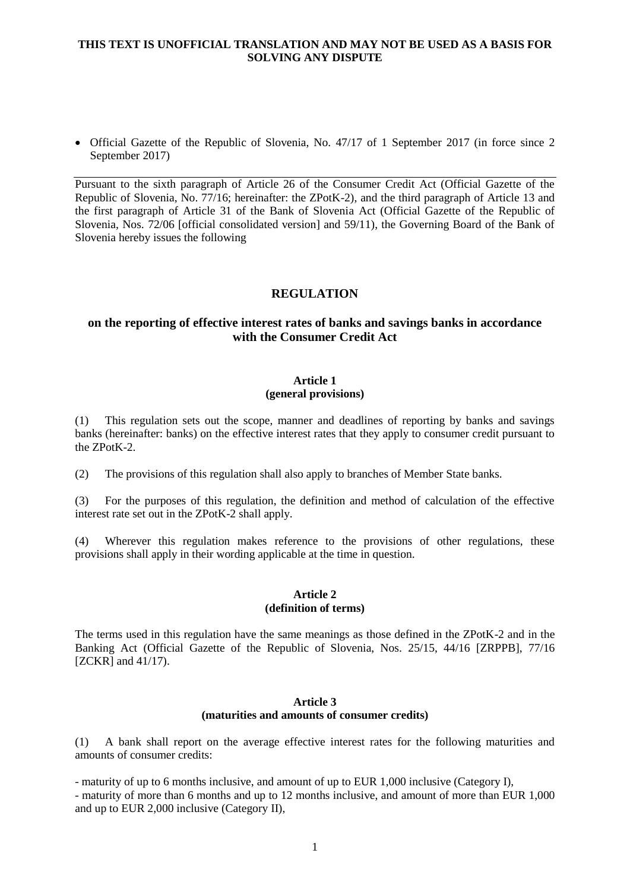### **THIS TEXT IS UNOFFICIAL TRANSLATION AND MAY NOT BE USED AS A BASIS FOR SOLVING ANY DISPUTE**

• Official Gazette of the Republic of Slovenia, No. 47/17 of 1 September 2017 (in force since 2 September 2017)

Pursuant to the sixth paragraph of Article 26 of the Consumer Credit Act (Official Gazette of the Republic of Slovenia, No. 77/16; hereinafter: the ZPotK-2), and the third paragraph of Article 13 and the first paragraph of Article 31 of the Bank of Slovenia Act (Official Gazette of the Republic of Slovenia, Nos. 72/06 [official consolidated version] and 59/11), the Governing Board of the Bank of Slovenia hereby issues the following

# **REGULATION**

# **on the reporting of effective interest rates of banks and savings banks in accordance with the Consumer Credit Act**

# **Article 1**

#### **(general provisions)**

(1) This regulation sets out the scope, manner and deadlines of reporting by banks and savings banks (hereinafter: banks) on the effective interest rates that they apply to consumer credit pursuant to the ZPotK-2.

(2) The provisions of this regulation shall also apply to branches of Member State banks.

(3) For the purposes of this regulation, the definition and method of calculation of the effective interest rate set out in the ZPotK-2 shall apply.

(4) Wherever this regulation makes reference to the provisions of other regulations, these provisions shall apply in their wording applicable at the time in question.

#### **Article 2 (definition of terms)**

The terms used in this regulation have the same meanings as those defined in the ZPotK-2 and in the Banking Act (Official Gazette of the Republic of Slovenia, Nos. 25/15, 44/16 [ZRPPB], 77/16 [ZCKR] and 41/17).

#### **Article 3 (maturities and amounts of consumer credits)**

(1) A bank shall report on the average effective interest rates for the following maturities and amounts of consumer credits:

- maturity of up to 6 months inclusive, and amount of up to EUR 1,000 inclusive (Category I), - maturity of more than 6 months and up to 12 months inclusive, and amount of more than EUR 1,000 and up to EUR 2,000 inclusive (Category II),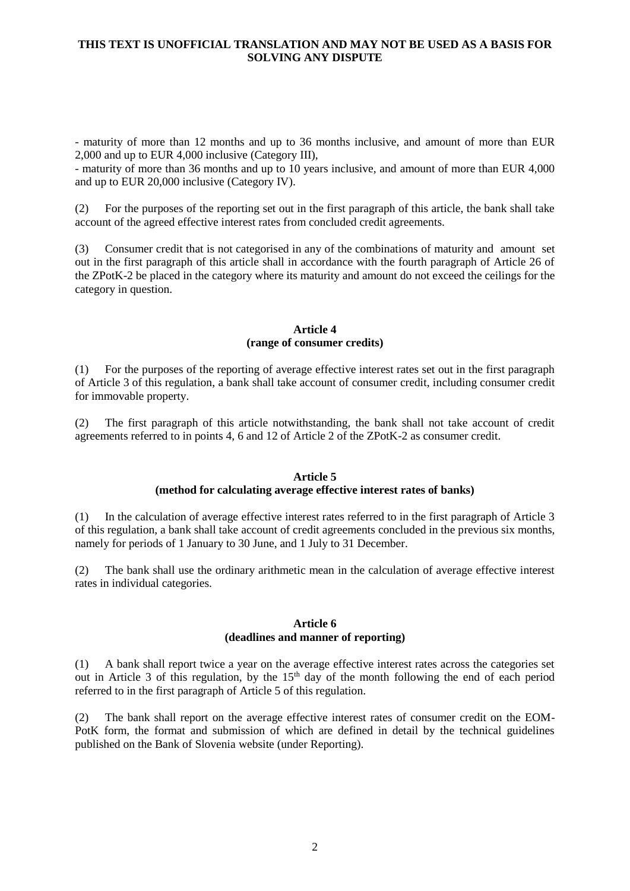### **THIS TEXT IS UNOFFICIAL TRANSLATION AND MAY NOT BE USED AS A BASIS FOR SOLVING ANY DISPUTE**

- maturity of more than 12 months and up to 36 months inclusive, and amount of more than EUR 2,000 and up to EUR 4,000 inclusive (Category III),

- maturity of more than 36 months and up to 10 years inclusive, and amount of more than EUR 4,000 and up to EUR 20,000 inclusive (Category IV).

(2) For the purposes of the reporting set out in the first paragraph of this article, the bank shall take account of the agreed effective interest rates from concluded credit agreements.

(3) Consumer credit that is not categorised in any of the combinations of maturity and amount set out in the first paragraph of this article shall in accordance with the fourth paragraph of Article 26 of the ZPotK-2 be placed in the category where its maturity and amount do not exceed the ceilings for the category in question.

#### **Article 4 (range of consumer credits)**

(1) For the purposes of the reporting of average effective interest rates set out in the first paragraph of Article 3 of this regulation, a bank shall take account of consumer credit, including consumer credit for immovable property.

(2) The first paragraph of this article notwithstanding, the bank shall not take account of credit agreements referred to in points 4, 6 and 12 of Article 2 of the ZPotK-2 as consumer credit.

### **Article 5**

### **(method for calculating average effective interest rates of banks)**

(1) In the calculation of average effective interest rates referred to in the first paragraph of Article 3 of this regulation, a bank shall take account of credit agreements concluded in the previous six months, namely for periods of 1 January to 30 June, and 1 July to 31 December.

(2) The bank shall use the ordinary arithmetic mean in the calculation of average effective interest rates in individual categories.

#### **Article 6 (deadlines and manner of reporting)**

(1) A bank shall report twice a year on the average effective interest rates across the categories set out in Article 3 of this regulation, by the  $15<sup>th</sup>$  day of the month following the end of each period referred to in the first paragraph of Article 5 of this regulation.

(2) The bank shall report on the average effective interest rates of consumer credit on the EOM-PotK form, the format and submission of which are defined in detail by the technical guidelines published on the Bank of Slovenia website (under Reporting).